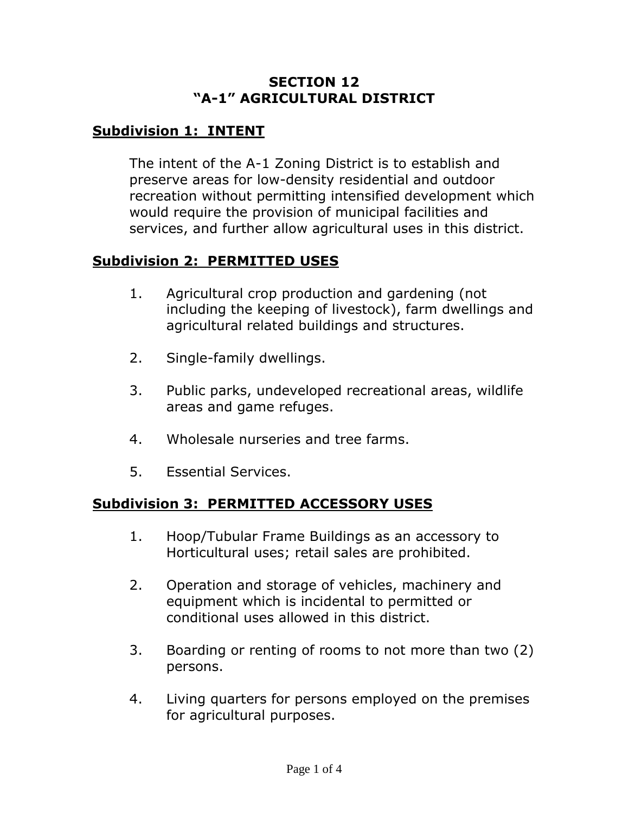#### **SECTION 12 "A-1" AGRICULTURAL DISTRICT**

## **Subdivision 1: INTENT**

The intent of the A-1 Zoning District is to establish and preserve areas for low-density residential and outdoor recreation without permitting intensified development which would require the provision of municipal facilities and services, and further allow agricultural uses in this district.

#### **Subdivision 2: PERMITTED USES**

- 1. Agricultural crop production and gardening (not including the keeping of livestock), farm dwellings and agricultural related buildings and structures.
- 2. Single-family dwellings.
- 3. Public parks, undeveloped recreational areas, wildlife areas and game refuges.
- 4. Wholesale nurseries and tree farms.
- 5. Essential Services.

### **Subdivision 3: PERMITTED ACCESSORY USES**

- 1. Hoop/Tubular Frame Buildings as an accessory to Horticultural uses; retail sales are prohibited.
- 2. Operation and storage of vehicles, machinery and equipment which is incidental to permitted or conditional uses allowed in this district.
- 3. Boarding or renting of rooms to not more than two (2) persons.
- 4. Living quarters for persons employed on the premises for agricultural purposes.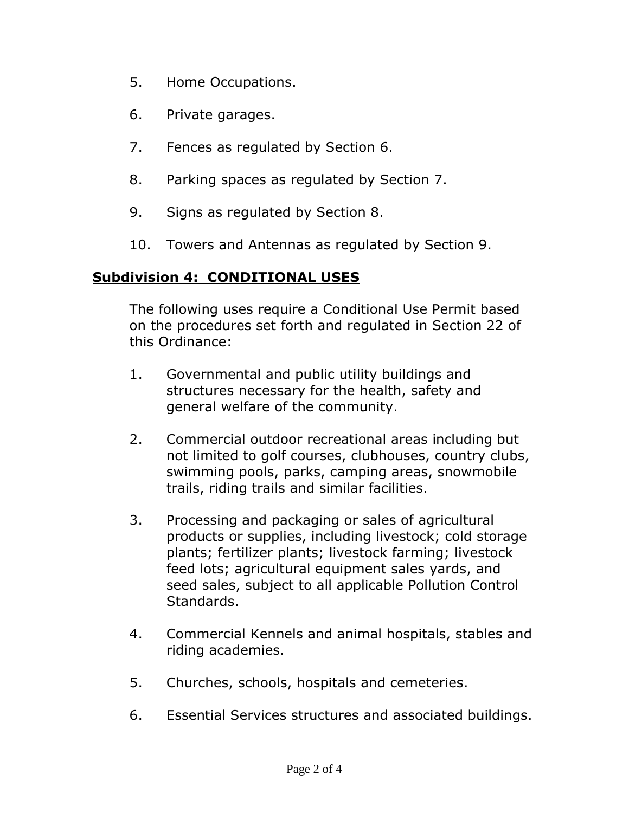- 5. Home Occupations.
- 6. Private garages.
- 7. Fences as regulated by Section 6.
- 8. Parking spaces as regulated by Section 7.
- 9. Signs as regulated by Section 8.
- 10. Towers and Antennas as regulated by Section 9.

### **Subdivision 4: CONDITIONAL USES**

The following uses require a Conditional Use Permit based on the procedures set forth and regulated in Section 22 of this Ordinance:

- 1. Governmental and public utility buildings and structures necessary for the health, safety and general welfare of the community.
- 2. Commercial outdoor recreational areas including but not limited to golf courses, clubhouses, country clubs, swimming pools, parks, camping areas, snowmobile trails, riding trails and similar facilities.
- 3. Processing and packaging or sales of agricultural products or supplies, including livestock; cold storage plants; fertilizer plants; livestock farming; livestock feed lots; agricultural equipment sales yards, and seed sales, subject to all applicable Pollution Control Standards.
- 4. Commercial Kennels and animal hospitals, stables and riding academies.
- 5. Churches, schools, hospitals and cemeteries.
- 6. Essential Services structures and associated buildings.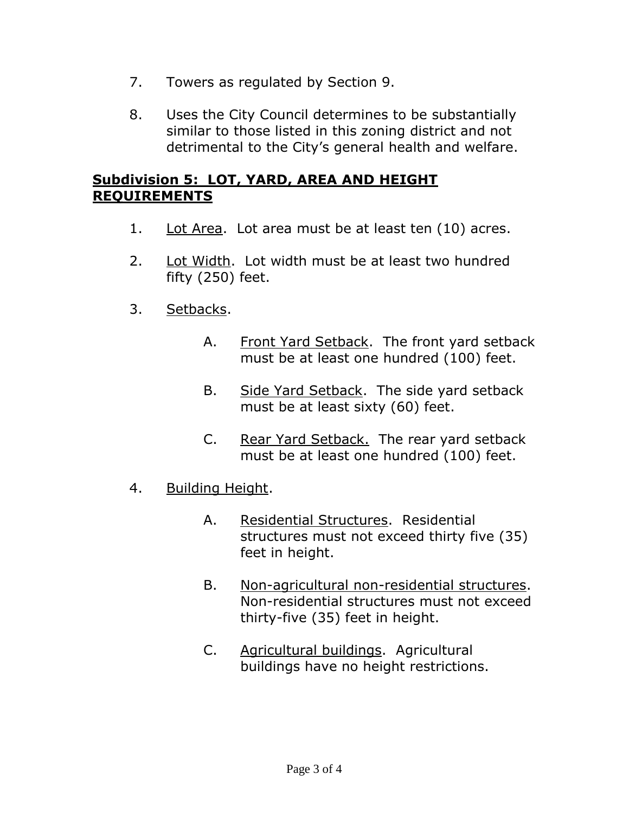- 7. Towers as regulated by Section 9.
- 8. Uses the City Council determines to be substantially similar to those listed in this zoning district and not detrimental to the City's general health and welfare.

#### **Subdivision 5: LOT, YARD, AREA AND HEIGHT REQUIREMENTS**

- 1. Lot Area. Lot area must be at least ten  $(10)$  acres.
- 2. Lot Width. Lot width must be at least two hundred fifty (250) feet.
- 3. Setbacks.
	- A. Front Yard Setback. The front yard setback must be at least one hundred (100) feet.
	- B. Side Yard Setback. The side yard setback must be at least sixty (60) feet.
	- C. Rear Yard Setback. The rear yard setback must be at least one hundred (100) feet.
- 4. Building Height.
	- A. Residential Structures. Residential structures must not exceed thirty five (35) feet in height.
	- B. Non-agricultural non-residential structures. Non-residential structures must not exceed thirty-five (35) feet in height.
	- C. Agricultural buildings. Agricultural buildings have no height restrictions.